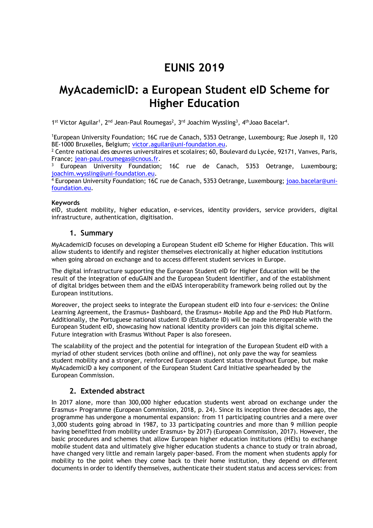# **EUNIS 2019**

## **MyAcademicID: a European Student eID Scheme for Higher Education**

1<sup>st</sup> Victor Aguilar<sup>1</sup>, 2<sup>nd</sup> Jean-Paul Roumegas<sup>2</sup>, 3<sup>rd</sup> Joachim Wyssling<sup>3</sup>, 4<sup>th</sup> Joao Bacelar<sup>4</sup>.

<sup>1</sup>European University Foundation; 16C rue de Canach, 5353 Oetrange, Luxembourg; Rue Joseph II, 120 BE-1000 Bruxelles, Belgium; [victor.aguilar@uni-foundation.eu.](mailto:victor.aguilar@uni-foundation.eu)

<sup>2</sup> Centre national des œuvres universitaires et scolaires; 60, Boulevard du Lycée, 92171, Vanves, Paris, France; [jean-paul.roumegas@cnous.fr.](mailto:jean-paul.roumegas@cnous.fr)

European University Foundation; 16C rue de Canach, 5353 Oetrange, Luxembourg; [joachim.wyssling@uni-foundation.eu.](mailto:joachim.wyssling@uni-foundation.eu)

4 European University Foundation; 16C rue de Canach, 5353 Oetrange, Luxembourg; [joao.bacelar@uni](mailto:joao.bacelar@uni-foundation.eu)[foundation.eu.](mailto:joao.bacelar@uni-foundation.eu)

#### **Keywords**

eID, student mobility, higher education, e-services, identity providers, service providers, digital infrastructure, authentication, digitisation.

## **1. Summary**

MyAcademicID focuses on developing a European Student eID Scheme for Higher Education. This will allow students to identify and register themselves electronically at higher education institutions when going abroad on exchange and to access different student services in Europe.

The digital infrastructure supporting the European Student eID for Higher Education will be the result of the integration of eduGAIN and the European Student Identifier, and of the establishment of digital bridges between them and the eIDAS interoperability framework being rolled out by the European institutions.

Moreover, the project seeks to integrate the European student eID into four e-services: the Online Learning Agreement, the Erasmus+ Dashboard, the Erasmus+ Mobile App and the PhD Hub Platform. Additionally, the Portuguese national student ID (Estudante ID) will be made interoperable with the European Student eID, showcasing how national identity providers can join this digital scheme. Future integration with Erasmus Without Paper is also foreseen.

The scalability of the project and the potential for integration of the European Student eID with a myriad of other student services (both online and offline), not only pave the way for seamless student mobility and a stronger, reinforced European student status throughout Europe, but make MyAcademicID a key component of the European Student Card Initiative spearheaded by the European Commission.

## **2. Extended abstract**

In 2017 alone, more than 300,000 higher education students went abroad on exchange under the Erasmus+ Programme (European Commission, 2018, p. 24). Since its inception three decades ago, the programme has undergone a monumental expansion: from 11 participating countries and a mere over 3,000 students going abroad in 1987, to 33 participating countries and more than 9 million people having benefitted from mobility under Erasmus+ by 2017) (European Commission, 2017). However, the basic procedures and schemes that allow European higher education institutions (HEIs) to exchange mobile student data and ultimately give higher education students a chance to study or train abroad, have changed very little and remain largely paper-based. From the moment when students apply for mobility to the point when they come back to their home institution, they depend on different documents in order to identify themselves, authenticate their student status and access services: from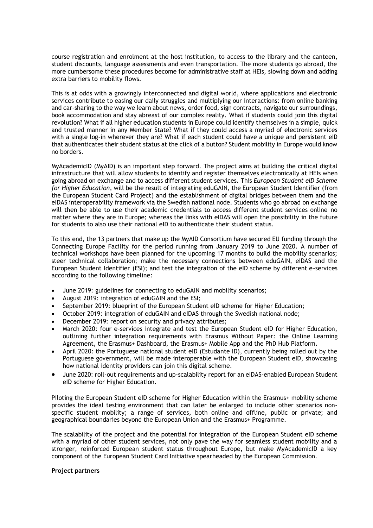course registration and enrolment at the host institution, to access to the library and the canteen, student discounts, language assessments and even transportation. The more students go abroad, the more cumbersome these procedures become for administrative staff at HEIs, slowing down and adding extra barriers to mobility flows.

This is at odds with a growingly interconnected and digital world, where applications and electronic services contribute to easing our daily struggles and multiplying our interactions: from online banking and car-sharing to the way we learn about news, order food, sign contracts, navigate our surroundings, book accommodation and stay abreast of our complex reality. What if students could join this digital revolution? What if all higher education students in Europe could identify themselves in a simple, quick and trusted manner in any Member State? What if they could access a myriad of electronic services with a single log-in wherever they are? What if each student could have a unique and persistent eID that authenticates their student status at the click of a button? Student mobility in Europe would know no borders.

MyAcademicID (MyAID) is an important step forward. The project aims at building the critical digital infrastructure that will allow students to identify and register themselves electronically at HEIs when going abroad on exchange and to access different student services. This *European Student eID Scheme for Higher Education*, will be the result of integrating eduGAIN, the European Student Identifier (from the European Student Card Project) and the establishment of digital bridges between them and the eIDAS interoperability framework via the Swedish national node. Students who go abroad on exchange will then be able to use their academic credentials to access different student services online no matter where they are in Europe; whereas the links with eIDAS will open the possibility in the future for students to also use their national eID to authenticate their student status.

To this end, the 13 partners that make up the MyAID Consortium have secured EU funding through the Connecting Europe Facility for the period running from January 2019 to June 2020. A number of technical workshops have been planned for the upcoming 17 months to build the mobility scenarios; steer technical collaboration; make the necessary connections between eduGAIN, eIDAS and the European Student Identifier (ESI); and test the integration of the eID scheme by different e-services according to the following timeline:

- June 2019: guidelines for connecting to eduGAIN and mobility scenarios;
- August 2019: integration of eduGAIN and the ESI;
- September 2019: blueprint of the European Student eID scheme for Higher Education;
- October 2019: integration of eduGAIN and eIDAS through the Swedish national node;
- December 2019: report on security and privacy attributes;
- March 2020: four e-services integrate and test the European Student eID for Higher Education, outlining further integration requirements with Erasmus Without Paper: the Online Learning Agreement, the Erasmus+ Dashboard, the Erasmus+ Mobile App and the PhD Hub Platform.
- April 2020: the Portuguese national student eID (Estudante ID), currently being rolled out by the Portuguese government, will be made interoperable with the European Student eID, showcasing how national identity providers can join this digital scheme.
- June 2020: roll-out requirements and up-scalability report for an eIDAS-enabled European Student eID scheme for Higher Education.

Piloting the European Student eID scheme for Higher Education within the Erasmus+ mobility scheme provides the ideal testing environment that can later be enlarged to include other scenarios nonspecific student mobility; a range of services, both online and offline, public or private; and geographical boundaries beyond the European Union and the Erasmus+ Programme.

The scalability of the project and the potential for integration of the European Student eID scheme with a myriad of other student services, not only pave the way for seamless student mobility and a stronger, reinforced European student status throughout Europe, but make MyAcademicID a key component of the European Student Card Initiative spearheaded by the European Commission.

#### **Project partners**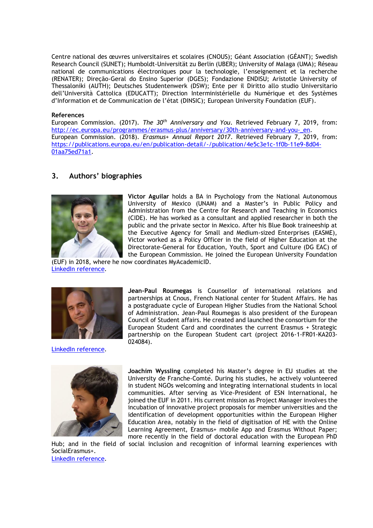Centre national des œuvres universitaires et scolaires (CNOUS); Géant Association (GÉANT); Swedish Research Council (SUNET); Humboldt-Universität zu Berlin (UBER); University of Malaga (UMA); Réseau national de communications électroniques pour la technologie, l'enseignement et la recherche (RENATER); Direção-Geral do Ensino Superior (DGES); Fondazione ENDISU; Aristotle University of Thessaloniki (AUTH); Deutsches Studentenwerk (DSW); Ente per il Diritto allo studio Universitario dell'Università Cattolica (EDUCATT); Direction Interministérielle du Numérique et des Systèmes d'Information et de Communication de l'état (DINSIC); European University Foundation (EUF).

#### **References**

European Commission. (2017). *The 30th Anniversary and You*. Retrieved February 7, 2019, from: [http://ec.europa.eu/programmes/erasmus-plus/anniversary/30th-anniversary-and-you-\\_en.](http://ec.europa.eu/programmes/erasmus-plus/anniversary/30th-anniversary-and-you-_en) European Commission. (2018). *Erasmus+ Annual Report 2017*. Retrieved February 7, 2019, from: [https://publications.europa.eu/en/publication-detail/-/publication/4e5c3e1c-1f0b-11e9-8d04-](https://publications.europa.eu/en/publication-detail/-/publication/4e5c3e1c-1f0b-11e9-8d04-01aa75ed71a1) [01aa75ed71a1.](https://publications.europa.eu/en/publication-detail/-/publication/4e5c3e1c-1f0b-11e9-8d04-01aa75ed71a1)

## **3. Authors' biographies**



**Victor Aguilar** holds a BA in Psychology from the National Autonomous University of Mexico (UNAM) and a Master's in Public Policy and Administration from the Centre for Research and Teaching in Economics (CIDE). He has worked as a consultant and applied researcher in both the public and the private sector in Mexico. After his Blue Book traineeship at the Executive Agency for Small and Medium-sized Enterprises (EASME), Victor worked as a Policy Officer in the field of Higher Education at the Directorate-General for Education, Youth, Sport and Culture (DG EAC) of the European Commission. He joined the European University Foundation

(EUF) in 2018, where he now coordinates MyAcademicID. [LinkedIn reference.](https://www.linkedin.com/in/víctor-aguilar-policy-analyst)



[LinkedIn reference.](https://www.linkedin.com/in/jean-paul-roumegas-83169945)



SocialErasmus+. [LinkedIn reference.](https://www.linkedin.com/in/jwyssling/)

**Jean-Paul Roumegas** is Counsellor of international relations and partnerships at Cnous, French National center for Student Affairs. He has a postgraduate cycle of European Higher Studies from the National School of Administration. Jean-Paul Roumegas is also president of the European Council of Student affairs. He created and launched the consortium for the European Student Card and coordinates the current Erasmus + Strategic partnership on the European Student cart (project 2016-1-FR01-KA203- 024084).

**Joachim Wyssling** completed his Master's degree in EU studies at the University de Franche-Comté. During his studies, he actively volunteered in student NGOs welcoming and integrating international students in local communities. After serving as Vice-President of ESN International, he joined the EUF in 2011. His current mission as Project Manager involves the incubation of innovative project proposals for member universities and the identification of development opportunities within the European Higher Education Area, notably in the field of digitisation of HE with the Online Learning Agreement, Erasmus+ mobile App and Erasmus Without Paper; more recently in the field of doctoral education with the European PhD Hub; and in the field of social inclusion and recognition of informal learning experiences with